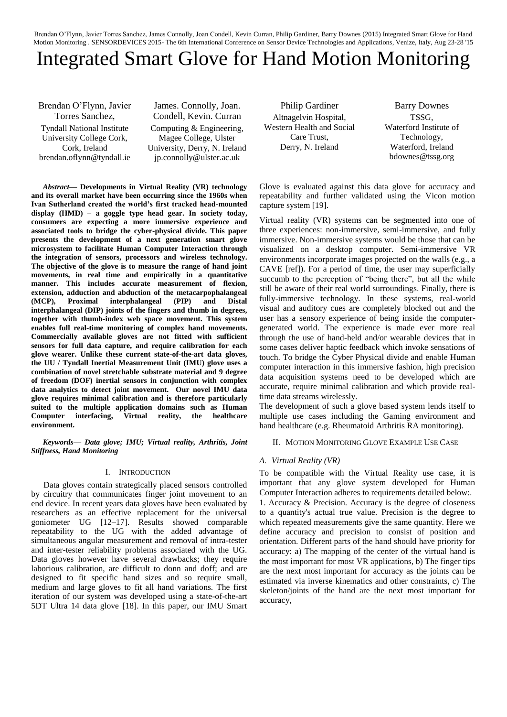# Integrated Smart Glove for Hand Motion Monitoring

Brendan O'Flynn, Javier Torres Sanchez, Tyndall National Institute University College Cork, Cork, Ireland brendan.oflynn@tyndall.ie

James. Connolly, Joan. Condell, Kevin. Curran Computing & Engineering, Magee College, Ulster University, Derry, N. Ireland jp.connolly@ulster.ac.uk

*Abstract***— Developments in Virtual Reality (VR) technology and its overall market have been occurring since the 1960s when Ivan Sutherland created the world's first tracked head-mounted display (HMD) – a goggle type head gear. In society today, consumers are expecting a more immersive experience and associated tools to bridge the cyber-physical divide. This paper presents the development of a next generation smart glove microsystem to facilitate Human Computer Interaction through the integration of sensors, processors and wireless technology. The objective of the glove is to measure the range of hand joint movements, in real time and empirically in a quantitative manner. This includes accurate measurement of flexion, extension, adduction and abduction of the metacarpophalangeal (MCP), Proximal interphalangeal (PIP) and Distal interphalangeal (DIP) joints of the fingers and thumb in degrees, together with thumb-index web space movement. This system enables full real-time monitoring of complex hand movements. Commercially available gloves are not fitted with sufficient sensors for full data capture, and require calibration for each glove wearer. Unlike these current state-of-the-art data gloves, the UU / Tyndall Inertial Measurement Unit (IMU) glove uses a combination of novel stretchable substrate material and 9 degree of freedom (DOF) inertial sensors in conjunction with complex data analytics to detect joint movement. Our novel IMU data glove requires minimal calibration and is therefore particularly suited to the multiple application domains such as Human Computer interfacing, Virtual reality, the healthcare environment.** 

*Keywords— Data glove; IMU; Virtual reality, Arthritis, Joint Stiffness, Hand Monitoring*

# I. INTRODUCTION

Data gloves contain strategically placed sensors controlled by circuitry that communicates finger joint movement to an end device. In recent years data gloves have been evaluated by researchers as an effective replacement for the universal goniometer UG [12–17]. Results showed comparable repeatability to the UG with the added advantage of simultaneous angular measurement and removal of intra-tester and inter-tester reliability problems associated with the UG. Data gloves however have several drawbacks; they require laborious calibration, are difficult to donn and doff; and are designed to fit specific hand sizes and so require small, medium and large gloves to fit all hand variations. The first iteration of our system was developed using a state-of-the-art 5DT Ultra 14 data glove [18]. In this paper, our IMU Smart

Philip Gardiner Altnagelvin Hospital, Western Health and Social Care Trust, Derry, N. Ireland

Barry Downes TSSG, Waterford Institute of Technology, Waterford, Ireland bdownes@tssg.org

Glove is evaluated against this data glove for accuracy and repeatability and further validated using the Vicon motion capture system [19].

Virtual reality (VR) systems can be segmented into one of three experiences: non-immersive, semi-immersive, and fully immersive. Non-immersive systems would be those that can be visualized on a desktop computer. Semi-immersive VR environments incorporate images projected on the walls (e.g., a CAVE [ref]). For a period of time, the user may superficially succumb to the perception of "being there", but all the while still be aware of their real world surroundings. Finally, there is fully-immersive technology. In these systems, real-world visual and auditory cues are completely blocked out and the user has a sensory experience of being inside the computergenerated world. The experience is made ever more real through the use of hand-held and/or wearable devices that in some cases deliver haptic feedback which invoke sensations of touch. To bridge the Cyber Physical divide and enable Human computer interaction in this immersive fashion, high precision data acquisition systems need to be developed which are accurate, require minimal calibration and which provide realtime data streams wirelessly.

The development of such a glove based system lends itself to multiple use cases including the Gaming environment and hand healthcare (e.g. Rheumatoid Arthritis RA monitoring).

# II. MOTION MONITORING GLOVE EXAMPLE USE CASE

# *A. Virtual Reality (VR)*

To be compatible with the Virtual Reality use case, it is important that any glove system developed for Human Computer Interaction adheres to requirements detailed below:. 1. Accuracy & Precision. Accuracy is the degree of closeness to a quantity's actual true value. Precision is the degree to which repeated measurements give the same quantity. Here we define accuracy and precision to consist of position and orientation. Different parts of the hand should have priority for accuracy: a) The mapping of the center of the virtual hand is the most important for most VR applications, b) The finger tips are the next most important for accuracy as the joints can be estimated via inverse kinematics and other constraints, c) The skeleton/joints of the hand are the next most important for accuracy,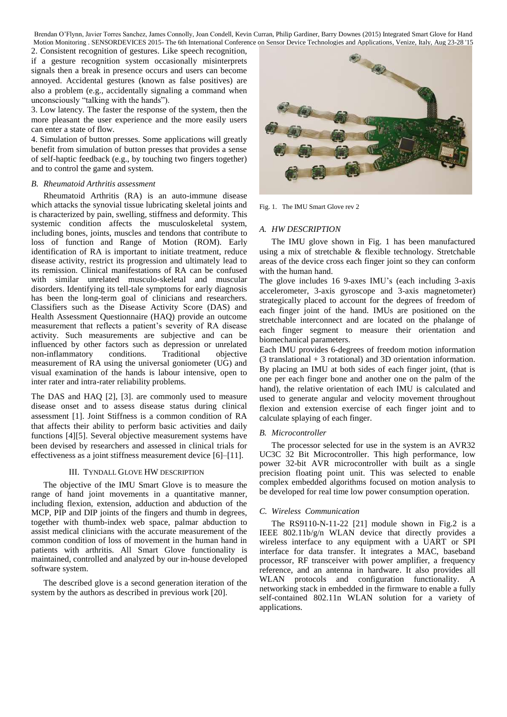2. Consistent recognition of gestures. Like speech recognition,

if a gesture recognition system occasionally misinterprets signals then a break in presence occurs and users can become annoyed. Accidental gestures (known as false positives) are also a problem (e.g., accidentally signaling a command when unconsciously "talking with the hands").

3. Low latency. The faster the response of the system, then the more pleasant the user experience and the more easily users can enter a state of flow.

4. Simulation of button presses. Some applications will greatly benefit from simulation of button presses that provides a sense of self-haptic feedback (e.g., by touching two fingers together) and to control the game and system.

# *B. Rheumatoid Arthritis assessment*

Rheumatoid Arthritis (RA) is an auto-immune disease which attacks the synovial tissue lubricating skeletal joints and is characterized by pain, swelling, stiffness and deformity. This systemic condition affects the musculoskeletal system, including bones, joints, muscles and tendons that contribute to loss of function and Range of Motion (ROM). Early identification of RA is important to initiate treatment, reduce disease activity, restrict its progression and ultimately lead to its remission. Clinical manifestations of RA can be confused with similar unrelated musculo-skeletal and muscular disorders. Identifying its tell-tale symptoms for early diagnosis has been the long-term goal of clinicians and researchers. Classifiers such as the Disease Activity Score (DAS) and Health Assessment Questionnaire (HAQ) provide an outcome measurement that reflects a patient's severity of RA disease activity. Such measurements are subjective and can be influenced by other factors such as depression or unrelated non-inflammatory conditions. Traditional objective measurement of RA using the universal goniometer (UG) and visual examination of the hands is labour intensive, open to inter rater and intra-rater reliability problems.

The DAS and HAQ [2], [3]. are commonly used to measure disease onset and to assess disease status during clinical assessment [1]. Joint Stiffness is a common condition of RA that affects their ability to perform basic activities and daily functions [4][5]. Several objective measurement systems have been devised by researchers and assessed in clinical trials for effectiveness as a joint stiffness measurement device [6]–[11].

# III. TYNDALL GLOVE HW DESCRIPTION

The objective of the IMU Smart Glove is to measure the range of hand joint movements in a quantitative manner, including flexion, extension, adduction and abduction of the MCP, PIP and DIP joints of the fingers and thumb in degrees, together with thumb-index web space, palmar abduction to assist medical clinicians with the accurate measurement of the common condition of loss of movement in the human hand in patients with arthritis. All Smart Glove functionality is maintained, controlled and analyzed by our in-house developed software system.

The described glove is a second generation iteration of the system by the authors as described in previous work [20].



Fig. 1. The IMU Smart Glove rev 2

# *A. HW DESCRIPTION*

The IMU glove shown in Fig. 1 has been manufactured using a mix of stretchable & flexible technology. Stretchable areas of the device cross each finger joint so they can conform with the human hand.

The glove includes 16 9-axes IMU's (each including 3-axis accelerometer, 3-axis gyroscope and 3-axis magnetometer) strategically placed to account for the degrees of freedom of each finger joint of the hand. IMUs are positioned on the stretchable interconnect and are located on the phalange of each finger segment to measure their orientation and biomechanical parameters.

Each IMU provides 6-degrees of freedom motion information (3 translational + 3 rotational) and 3D orientation information. By placing an IMU at both sides of each finger joint, (that is one per each finger bone and another one on the palm of the hand), the relative orientation of each IMU is calculated and used to generate angular and velocity movement throughout flexion and extension exercise of each finger joint and to calculate splaying of each finger.

# *B. Microcontroller*

The processor selected for use in the system is an AVR32 UC3C 32 Bit Microcontroller. This high performance, low power 32-bit AVR microcontroller with built as a single precision floating point unit. This was selected to enable complex embedded algorithms focused on motion analysis to be developed for real time low power consumption operation.

# *C. Wireless Communication*

The RS9110-N-11-22 [21] module shown in Fig.2 is a IEEE 802.11b/g/n WLAN device that directly provides a wireless interface to any equipment with a UART or SPI interface for data transfer. It integrates a MAC, baseband processor, RF transceiver with power amplifier, a frequency reference, and an antenna in hardware. It also provides all WLAN protocols and configuration functionality. A networking stack in embedded in the firmware to enable a fully self-contained 802.11n WLAN solution for a variety of applications.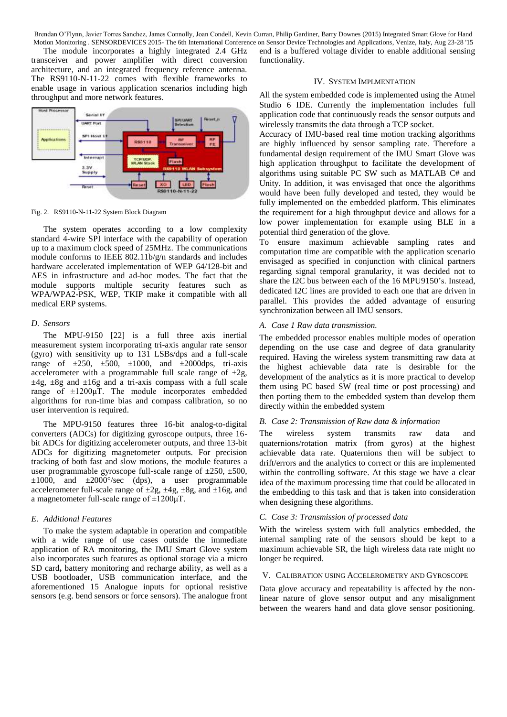The module incorporates a highly integrated 2.4 GHz transceiver and power amplifier with direct conversion architecture, and an integrated frequency reference antenna. The RS9110-N-11-22 comes with flexible frameworks to enable usage in various application scenarios including high throughput and more network features.



Fig. 2. RS9110-N-11-22 System Block Diagram

The system operates according to a low complexity standard 4-wire SPI interface with the capability of operation up to a maximum clock speed of 25MHz. The communications module conforms to IEEE 802.11b/g/n standards and includes hardware accelerated implementation of WEP 64/128-bit and AES in infrastructure and ad-hoc modes. The fact that the module supports multiple security features such as WPA/WPA2-PSK, WEP, TKIP make it compatible with all medical ERP systems.

#### *D. Sensors*

The MPU-9150 [22] is a full three axis inertial measurement system incorporating tri-axis angular rate sensor (gyro) with sensitivity up to 131 LSBs/dps and a full-scale range of  $\pm 250$ ,  $\pm 500$ ,  $\pm 1000$ , and  $\pm 2000$ dps, tri-axis accelerometer with a programmable full scale range of  $\pm 2g$ ,  $\pm 4g$ ,  $\pm 8g$  and  $\pm 16g$  and a tri-axis compass with a full scale range of  $\pm 1200 \mu T$ . The module incorporates embedded algorithms for run-time bias and compass calibration, so no user intervention is required.

The MPU-9150 features three 16-bit analog-to-digital converters (ADCs) for digitizing gyroscope outputs, three 16 bit ADCs for digitizing accelerometer outputs, and three 13-bit ADCs for digitizing magnetometer outputs. For precision tracking of both fast and slow motions, the module features a user programmable gyroscope full-scale range of  $\pm 250$ ,  $\pm 500$ ,  $\pm 1000$ , and  $\pm 2000^{\circ}/sec$  (dps), a user programmable accelerometer full-scale range of  $\pm 2g$ ,  $\pm 4g$ ,  $\pm 8g$ , and  $\pm 16g$ , and a magnetometer full-scale range of  $\pm 1200 \mu T$ .

#### *E. Additional Features*

To make the system adaptable in operation and compatible with a wide range of use cases outside the immediate application of RA monitoring, the IMU Smart Glove system also incorporates such features as optional storage via a micro SD card**,** battery monitoring and recharge ability, as well as a USB bootloader, USB communication interface, and the aforementioned 15 Analogue inputs for optional resistive sensors (e.g. bend sensors or force sensors). The analogue front end is a buffered voltage divider to enable additional sensing functionality.

#### IV. SYSTEM IMPLMENTATION

All the system embedded code is implemented using the Atmel Studio 6 IDE. Currently the implementation includes full application code that continuously reads the sensor outputs and wirelessly transmits the data through a TCP socket.

Accuracy of IMU-based real time motion tracking algorithms are highly influenced by sensor sampling rate. Therefore a fundamental design requirement of the IMU Smart Glove was high application throughput to facilitate the development of algorithms using suitable PC SW such as MATLAB C# and Unity. In addition, it was envisaged that once the algorithms would have been fully developed and tested, they would be fully implemented on the embedded platform. This eliminates the requirement for a high throughput device and allows for a low power implementation for example using BLE in a potential third generation of the glove.

To ensure maximum achievable sampling rates and computation time are compatible with the application scenario envisaged as specified in conjunction with clinical partners regarding signal temporal granularity, it was decided not to share the I2C bus between each of the 16 MPU9150's. Instead, dedicated I2C lines are provided to each one that are driven in parallel. This provides the added advantage of ensuring synchronization between all IMU sensors.

### *A. Case 1 Raw data transmission.*

The embedded processor enables multiple modes of operation depending on the use case and degree of data granularity required. Having the wireless system transmitting raw data at the highest achievable data rate is desirable for the development of the analytics as it is more practical to develop them using PC based SW (real time or post processing) and then porting them to the embedded system than develop them directly within the embedded system

#### *B. Case 2: Transmission of Raw data & information*

The wireless system transmits raw data and quaternions/rotation matrix (from gyros) at the highest achievable data rate. Quaternions then will be subject to drift/errors and the analytics to correct or this are implemented within the controlling software. At this stage we have a clear idea of the maximum processing time that could be allocated in the embedding to this task and that is taken into consideration when designing these algorithms.

### *C. Case 3: Transmission of processed data*

With the wireless system with full analytics embedded, the internal sampling rate of the sensors should be kept to a maximum achievable SR, the high wireless data rate might no longer be required.

## V. CALIBRATION USING ACCELEROMETRY AND GYROSCOPE

Data glove accuracy and repeatability is affected by the nonlinear nature of glove sensor output and any misalignment between the wearers hand and data glove sensor positioning.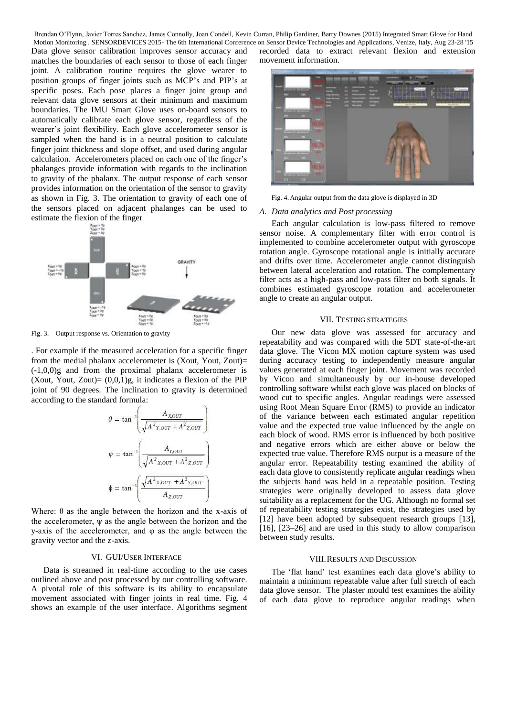Data glove sensor calibration improves sensor accuracy and matches the boundaries of each sensor to those of each finger joint. A calibration routine requires the glove wearer to position groups of finger joints such as MCP's and PIP's at specific poses. Each pose places a finger joint group and relevant data glove sensors at their minimum and maximum boundaries. The IMU Smart Glove uses on-board sensors to automatically calibrate each glove sensor, regardless of the wearer's joint flexibility. Each glove accelerometer sensor is sampled when the hand is in a neutral position to calculate finger joint thickness and slope offset, and used during angular calculation. Accelerometers placed on each one of the finger's phalanges provide information with regards to the inclination to gravity of the phalanx. The output response of each sensor provides information on the orientation of the sensor to gravity as shown in Fig. 3. The orientation to gravity of each one of the sensors placed on adjacent phalanges can be used to estimate the flexion of the finger



Fig. 3. Output response vs. Orientation to gravity

. For example if the measured acceleration for a specific finger from the medial phalanx accelerometer is (Xout, Yout, Zout)= (-1,0,0)g and from the proximal phalanx accelerometer is (Xout, Yout, Zout) =  $(0,0,1)$ g, it indicates a flexion of the PIP joint of 90 degrees. The inclination to gravity is determined according to the standard formula:

$$
\theta = \tan^{-1} \left( \frac{A_{XOUT}}{\sqrt{A^2_{Y,OUT} + A^2_{Z,OUT}}} \right)
$$

$$
\psi = \tan^{-1} \left( \frac{A_{Y,OUT}}{\sqrt{A^2_{X,OUT} + A^2_{Z,OUT}}} \right)
$$

$$
\phi = \tan^{-1} \left( \frac{\sqrt{A^2_{X,OUT} + A^2_{Y,OUT}}}{A_{Z,OUT}} \right)
$$

Where:  $\theta$  as the angle between the horizon and the x-axis of the accelerometer,  $\psi$  as the angle between the horizon and the y-axis of the accelerometer, and φ as the angle between the gravity vector and the z-axis.

### VI. GUI/USER INTERFACE

Data is streamed in real-time according to the use cases outlined above and post processed by our controlling software. A pivotal role of this software is its ability to encapsulate movement associated with finger joints in real time. Fig. 4 shows an example of the user interface. Algorithms segment

recorded data to extract relevant flexion and extension movement information.



Fig. 4.Angular output from the data glove is displayed in 3D

#### *A. Data analytics and Post processing*

Each angular calculation is low-pass filtered to remove sensor noise. A complementary filter with error control is implemented to combine accelerometer output with gyroscope rotation angle. Gyroscope rotational angle is initially accurate and drifts over time. Accelerometer angle cannot distinguish between lateral acceleration and rotation. The complementary filter acts as a high-pass and low-pass filter on both signals. It combines estimated gyroscope rotation and accelerometer angle to create an angular output.

#### VII. TESTING STRATEGIES

Our new data glove was assessed for accuracy and repeatability and was compared with the 5DT state-of-the-art data glove. The Vicon MX motion capture system was used during accuracy testing to independently measure angular values generated at each finger joint. Movement was recorded by Vicon and simultaneously by our in-house developed controlling software whilst each glove was placed on blocks of wood cut to specific angles. Angular readings were assessed using Root Mean Square Error (RMS) to provide an indicator of the variance between each estimated angular repetition value and the expected true value influenced by the angle on each block of wood. RMS error is influenced by both positive and negative errors which are either above or below the expected true value. Therefore RMS output is a measure of the angular error. Repeatability testing examined the ability of each data glove to consistently replicate angular readings when the subjects hand was held in a repeatable position. Testing strategies were originally developed to assess data glove suitability as a replacement for the UG. Although no formal set of repeatability testing strategies exist, the strategies used by [12] have been adopted by subsequent research groups [13], [16], [23–26] and are used in this study to allow comparison between study results.

#### VIII.RESULTS AND DISCUSSION

The 'flat hand' test examines each data glove's ability to maintain a minimum repeatable value after full stretch of each data glove sensor. The plaster mould test examines the ability of each data glove to reproduce angular readings when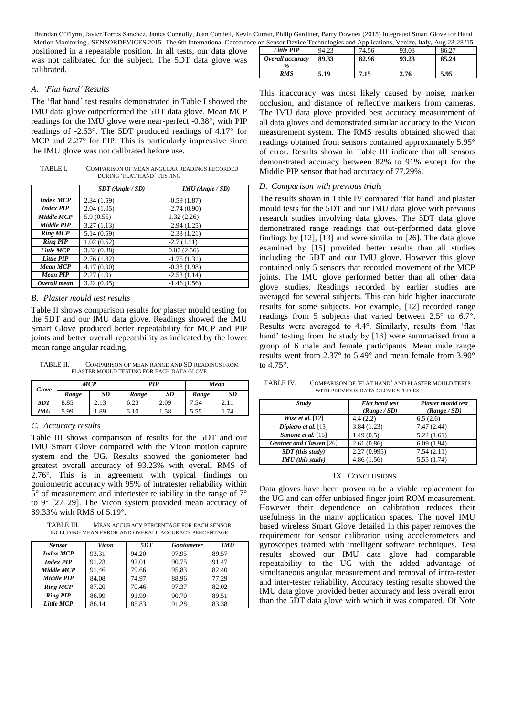Brendan O'Flynn, Javier Torres Sanchez, James Connolly, Joan Condell, Kevin Curran, Philip Gardiner, Barry Downes (2015) Integrated Smart Glove for Hand Motion Monitoring . SENSORDEVICES 2015- The 6th International Conference

positioned in a repeatable position. In all tests, our data glove was not calibrated for the subject. The 5DT data glove was calibrated.

# *A. 'Flat hand' Results*

The 'flat hand' test results demonstrated in Table I showed the IMU data glove outperformed the 5DT data glove. Mean MCP readings for the IMU glove were near-perfect -0.38°, with PIP readings of -2.53°. The 5DT produced readings of 4.17° for MCP and 2.27° for PIP. This is particularly impressive since the IMU glove was not calibrated before use.

TABLE I. COMPARISON OF MEAN ANGULAR READINGS RECORDED DURING 'FLAT HAND' TESTING

|                   | $5DT$ (Angle / $SD$ ) | $IMU$ (Angle / SD) |
|-------------------|-----------------------|--------------------|
| <b>Index MCP</b>  | 2.34(1.59)            | $-0.59(1.87)$      |
| <b>Index PIP</b>  | 2.04(1.05)            | $-2.74(0.90)$      |
| Middle MCP        | 5.9(0.55)             | 1.32(2.26)         |
| <b>Middle PIP</b> | 3.27(1.13)            | $-2.94(1.25)$      |
| <b>Ring MCP</b>   | 5.14(0.59)            | $-2.33(1.21)$      |
| <b>Ring PIP</b>   | 1.02(0.52)            | $-2.7(1.11)$       |
| <b>Little MCP</b> | 3.32(0.88)            | 0.07(2.56)         |
| Little PIP        | 2.76(1.32)            | $-1.75(1.31)$      |
| <b>Mean MCP</b>   | 4.17(0.90)            | $-0.38(1.98)$      |
| <b>Mean PIP</b>   | 2.27(1.0)             | $-2.53(1.14)$      |
| Overall mean      | 3.22(0.95)            | $-1.46(1.56)$      |

#### *B. Plaster mould test results*

Table II shows comparison results for plaster mould testing for the 5DT and our IMU data glove. Readings showed the IMU Smart Glove produced better repeatability for MCP and PIP joints and better overall repeatability as indicated by the lower mean range angular reading.

TABLE II. COMPARISON OF MEAN RANGE AND SD READINGS FROM PLASTER MOULD TESTING FOR EACH DATA GLOVE

| <b>Glove</b> | <b>MCP</b> |           | PIP   |           | Mean  |      |
|--------------|------------|-----------|-------|-----------|-------|------|
|              | Range      | <b>SD</b> | Range | <b>SD</b> | Range | SD   |
| 5DT          | 8.85       | 2.13      | 6.23  | 2.09      | 7.54  | 2.11 |
| IMU          | 5.99       | . 89      | 5.10  | 1.58      | 5.55  | 1.74 |

#### *C. Accuracy results*

Table III shows comparison of results for the 5DT and our IMU Smart Glove compared with the Vicon motion capture system and the UG. Results showed the goniometer had greatest overall accuracy of 93.23% with overall RMS of 2.76°. This is in agreement with typical findings on goniometric accuracy with 95% of intratester reliability within 5° of measurement and intertester reliability in the range of 7° to 9° [27–29]. The Vicon system provided mean accuracy of 89.33% with RMS of 5.19°.

TABLE III. MEAN ACCURACY PERCENTAGE FOR EACH SENSOR INCLUDING MEAN ERROR AND OVERALL ACCURACY PERCENTAGE

| <b>Sensor</b>    | Vicon | 5DT   | <b>Goniometer</b> | <b>IMU</b> |
|------------------|-------|-------|-------------------|------------|
| <b>Index MCP</b> | 93.31 | 94.20 | 97.95             | 89.57      |
| <b>Index PIP</b> | 91.23 | 92.01 | 90.75             | 91.47      |
| Middle MCP       | 91.46 | 79.66 | 95.83             | 82.40      |
| Middle PIP       | 84.08 | 74.97 | 88.96             | 77.29      |
| <b>Ring MCP</b>  | 87.20 | 70.46 | 97.37             | 82.02      |
| <b>Ring PIP</b>  | 86.99 | 91.99 | 90.70             | 89.51      |
| Little MCP       | 86.14 | 85.83 | 91.28             | 83.38      |

| on Sensor Device Technologies and Applications, Venize, Italy, Aug 23-28 '15 |       |       |       |       |  |
|------------------------------------------------------------------------------|-------|-------|-------|-------|--|
| Little PIP                                                                   | 94.23 | 74.56 | 93.03 | 86.27 |  |
| Overall accuracy                                                             | 89.33 | 82.96 | 93.23 | 85.24 |  |
| RMS                                                                          | 5.19  | 7.15  | 2.76  | 5.95  |  |

This inaccuracy was most likely caused by noise, marker occlusion, and distance of reflective markers from cameras. The IMU data glove provided best accuracy measurement of all data gloves and demonstrated similar accuracy to the Vicon measurement system. The RMS results obtained showed that readings obtained from sensors contained approximately 5.95° of error. Results shown in Table III indicate that all sensors demonstrated accuracy between 82% to 91% except for the Middle PIP sensor that had accuracy of 77.29%.

#### *D. Comparison with previous trials*

The results shown in Table IV compared 'flat hand' and plaster mould tests for the 5DT and our IMU data glove with previous research studies involving data gloves. The 5DT data glove demonstrated range readings that out-performed data glove findings by [12], [13] and were similar to [26]. The data glove examined by [15] provided better results than all studies including the 5DT and our IMU glove. However this glove contained only 5 sensors that recorded movement of the MCP joints. The IMU glove performed better than all other data glove studies. Readings recorded by earlier studies are averaged for several subjects. This can hide higher inaccurate results for some subjects. For example, [12] recorded range readings from 5 subjects that varied between 2.5° to 6.7°. Results were averaged to 4.4°. Similarly, results from 'flat hand' testing from the study by [13] were summarised from a group of 6 male and female participants. Mean male range results went from 2.37° to 5.49° and mean female from 3.90° to 4.75°.

TABLE IV. COMPARISON OF 'FLAT HAND' AND PLASTER MOULD TESTS WITH PREVIOUS DATA GLOVE STUDIES

| <b>Study</b>             | <b>Flat hand test</b> | <b>Plaster mould test</b> |  |
|--------------------------|-----------------------|---------------------------|--|
|                          | (Range / SD)          | (Range / SD)              |  |
| Wise et al. $[12]$       | 4.4(2.2)              | 6.5(2.6)                  |  |
| Dipietro et al. [13]     | 3.84(1.23)            | 7.47(2.44)                |  |
| Simone et al. $[15]$     | 1.49(0.5)             | 5.22(1.61)                |  |
| Gentner and Classen [26] | 2.61(0.86)            | 6.09(1.94)                |  |
| $5DT$ (this study)       | 2.27(0.995)           | 7.54(2.11)                |  |
| <b>IMU</b> (this study)  | 4.86(1.56)            | 5.55(1.74)                |  |

#### IX. CONCLUSIONS

Data gloves have been proven to be a viable replacement for the UG and can offer unbiased finger joint ROM measurement. However their dependence on calibration reduces their usefulness in the many application spaces. The novel IMU based wireless Smart Glove detailed in this paper removes the requirement for sensor calibration using accelerometers and gyroscopes teamed with intelligent software techniques. Test results showed our IMU data glove had comparable repeatability to the UG with the added advantage of simultaneous angular measurement and removal of intra-tester and inter-tester reliability. Accuracy testing results showed the IMU data glove provided better accuracy and less overall error than the 5DT data glove with which it was compared. Of Note